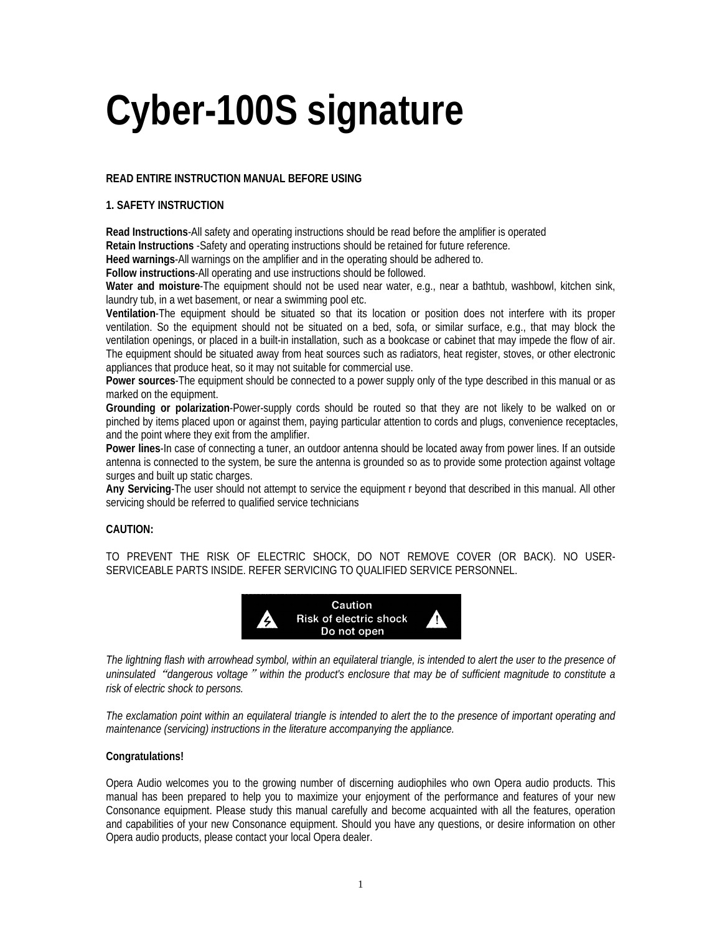# **Cyber-100S signature**

## **READ ENTIRE INSTRUCTION MANUAL BEFORE USING**

## **1. SAFETY INSTRUCTION**

**Read Instructions**-All safety and operating instructions should be read before the amplifier is operated

**Retain Instructions** -Safety and operating instructions should be retained for future reference.

**Heed warnings**-All warnings on the amplifier and in the operating should be adhered to.

**Follow instructions**-All operating and use instructions should be followed.

**Water and moisture**-The equipment should not be used near water, e.g., near a bathtub, washbowl, kitchen sink, laundry tub, in a wet basement, or near a swimming pool etc.

**Ventilation**-The equipment should be situated so that its location or position does not interfere with its proper ventilation. So the equipment should not be situated on a bed, sofa, or similar surface, e.g., that may block the ventilation openings, or placed in a built-in installation, such as a bookcase or cabinet that may impede the flow of air. The equipment should be situated away from heat sources such as radiators, heat register, stoves, or other electronic appliances that produce heat, so it may not suitable for commercial use.

**Power sources**-The equipment should be connected to a power supply only of the type described in this manual or as marked on the equipment.

**Grounding or polarization**-Power-supply cords should be routed so that they are not likely to be walked on or pinched by items placed upon or against them, paying particular attention to cords and plugs, convenience receptacles, and the point where they exit from the amplifier.

**Power lines**-In case of connecting a tuner, an outdoor antenna should be located away from power lines. If an outside antenna is connected to the system, be sure the antenna is grounded so as to provide some protection against voltage surges and built up static charges.

**Any Servicing**-The user should not attempt to service the equipment r beyond that described in this manual. All other servicing should be referred to qualified service technicians

## **CAUTION:**

TO PREVENT THE RISK OF ELECTRIC SHOCK, DO NOT REMOVE COVER (OR BACK). NO USER-SERVICEABLE PARTS INSIDE. REFER SERVICING TO QUALIFIED SERVICE PERSONNEL.



*The lightning flash with arrowhead symbol, within an equilateral triangle, is intended to alert the user to the presence of uninsulated*"*dangerous voltage*"*within the product's enclosure that may be of sufficient magnitude to constitute a risk of electric shock to persons.* 

*The exclamation point within an equilateral triangle is intended to alert the to the presence of important operating and maintenance (servicing) instructions in the literature accompanying the appliance.*

## **Congratulations!**

Opera Audio welcomes you to the growing number of discerning audiophiles who own Opera audio products. This manual has been prepared to help you to maximize your enjoyment of the performance and features of your new Consonance equipment. Please study this manual carefully and become acquainted with all the features, operation and capabilities of your new Consonance equipment. Should you have any questions, or desire information on other Opera audio products, please contact your local Opera dealer.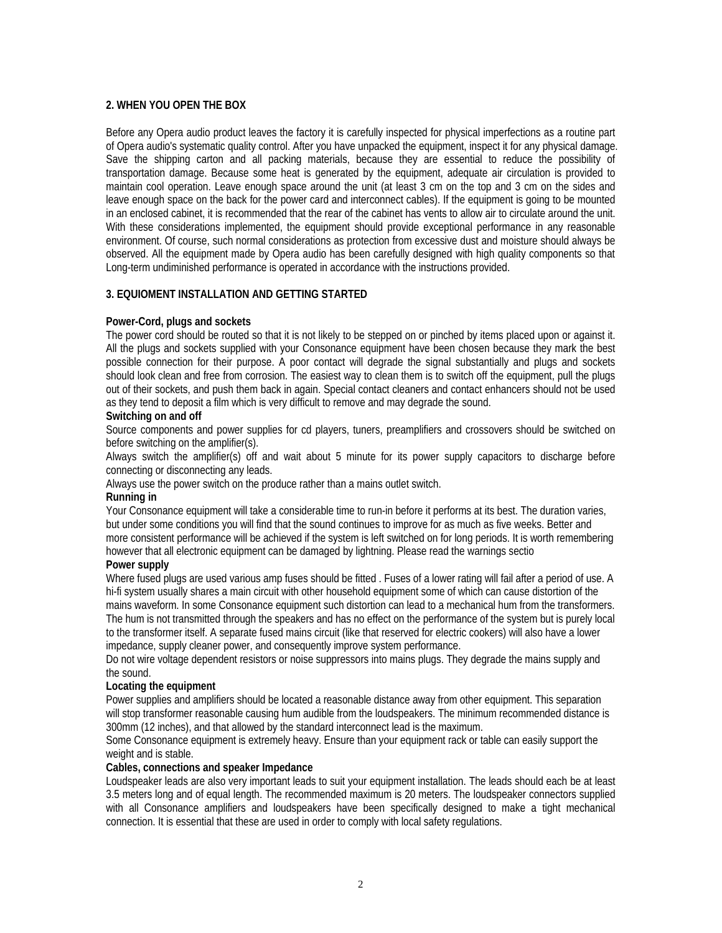## **2. WHEN YOU OPEN THE BOX**

Before any Opera audio product leaves the factory it is carefully inspected for physical imperfections as a routine part of Opera audio's systematic quality control. After you have unpacked the equipment, inspect it for any physical damage. Save the shipping carton and all packing materials, because they are essential to reduce the possibility of transportation damage. Because some heat is generated by the equipment, adequate air circulation is provided to maintain cool operation. Leave enough space around the unit (at least 3 cm on the top and 3 cm on the sides and leave enough space on the back for the power card and interconnect cables). If the equipment is going to be mounted in an enclosed cabinet, it is recommended that the rear of the cabinet has vents to allow air to circulate around the unit. With these considerations implemented, the equipment should provide exceptional performance in any reasonable environment. Of course, such normal considerations as protection from excessive dust and moisture should always be observed. All the equipment made by Opera audio has been carefully designed with high quality components so that Long-term undiminished performance is operated in accordance with the instructions provided.

## **3. EQUIOMENT INSTALLATION AND GETTING STARTED**

## **Power-Cord, plugs and sockets**

The power cord should be routed so that it is not likely to be stepped on or pinched by items placed upon or against it. All the plugs and sockets supplied with your Consonance equipment have been chosen because they mark the best possible connection for their purpose. A poor contact will degrade the signal substantially and plugs and sockets should look clean and free from corrosion. The easiest way to clean them is to switch off the equipment, pull the plugs out of their sockets, and push them back in again. Special contact cleaners and contact enhancers should not be used as they tend to deposit a film which is very difficult to remove and may degrade the sound.

## **Switching on and off**

Source components and power supplies for cd players, tuners, preamplifiers and crossovers should be switched on before switching on the amplifier(s).

Always switch the amplifier(s) off and wait about 5 minute for its power supply capacitors to discharge before connecting or disconnecting any leads.

Always use the power switch on the produce rather than a mains outlet switch.

## **Running in**

Your Consonance equipment will take a considerable time to run-in before it performs at its best. The duration varies, but under some conditions you will find that the sound continues to improve for as much as five weeks. Better and more consistent performance will be achieved if the system is left switched on for long periods. It is worth remembering however that all electronic equipment can be damaged by lightning. Please read the warnings sectio

## **Power supply**

Where fused plugs are used various amp fuses should be fitted . Fuses of a lower rating will fail after a period of use. A hi-fi system usually shares a main circuit with other household equipment some of which can cause distortion of the mains waveform. In some Consonance equipment such distortion can lead to a mechanical hum from the transformers. The hum is not transmitted through the speakers and has no effect on the performance of the system but is purely local to the transformer itself. A separate fused mains circuit (like that reserved for electric cookers) will also have a lower impedance, supply cleaner power, and consequently improve system performance.

Do not wire voltage dependent resistors or noise suppressors into mains plugs. They degrade the mains supply and the sound.

## **Locating the equipment**

Power supplies and amplifiers should be located a reasonable distance away from other equipment. This separation will stop transformer reasonable causing hum audible from the loudspeakers. The minimum recommended distance is 300mm (12 inches), and that allowed by the standard interconnect lead is the maximum.

Some Consonance equipment is extremely heavy. Ensure than your equipment rack or table can easily support the weight and is stable.

#### **Cables, connections and speaker Impedance**

Loudspeaker leads are also very important leads to suit your equipment installation. The leads should each be at least 3.5 meters long and of equal length. The recommended maximum is 20 meters. The loudspeaker connectors supplied with all Consonance amplifiers and loudspeakers have been specifically designed to make a tight mechanical connection. It is essential that these are used in order to comply with local safety regulations.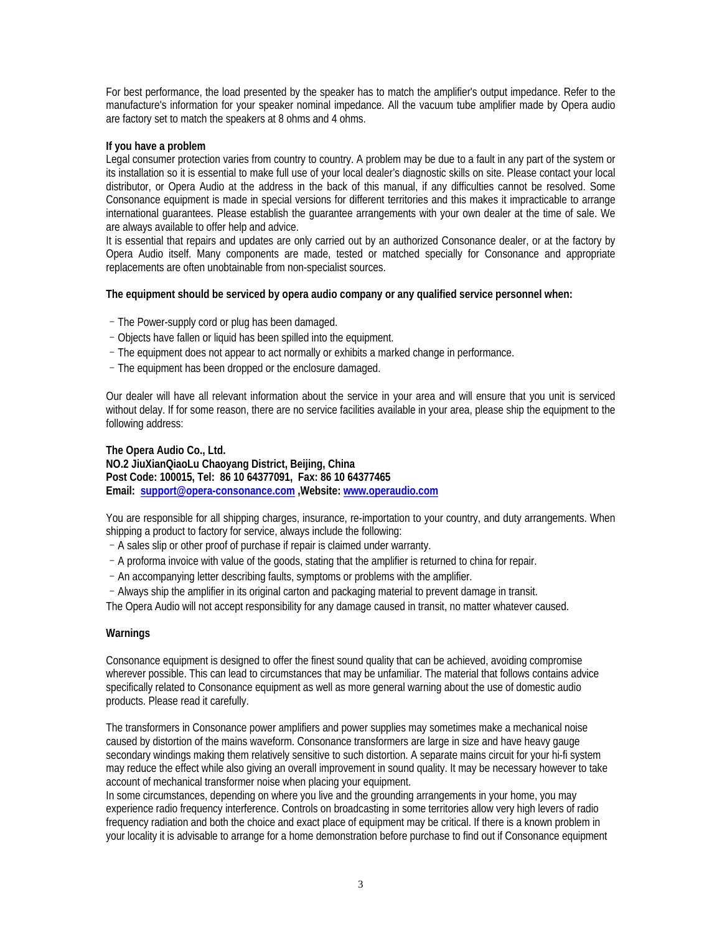For best performance, the load presented by the speaker has to match the amplifier's output impedance. Refer to the manufacture's information for your speaker nominal impedance. All the vacuum tube amplifier made by Opera audio are factory set to match the speakers at 8 ohms and 4 ohms.

## **If you have a problem**

Legal consumer protection varies from country to country. A problem may be due to a fault in any part of the system or its installation so it is essential to make full use of your local dealer's diagnostic skills on site. Please contact your local distributor, or Opera Audio at the address in the back of this manual, if any difficulties cannot be resolved. Some Consonance equipment is made in special versions for different territories and this makes it impracticable to arrange international guarantees. Please establish the guarantee arrangements with your own dealer at the time of sale. We are always available to offer help and advice.

It is essential that repairs and updates are only carried out by an authorized Consonance dealer, or at the factory by Opera Audio itself. Many components are made, tested or matched specially for Consonance and appropriate replacements are often unobtainable from non-specialist sources.

## **The equipment should be serviced by opera audio company or any qualified service personnel when:**

- –The Power-supply cord or plug has been damaged.
- –Objects have fallen or liquid has been spilled into the equipment.
- –The equipment does not appear to act normally or exhibits a marked change in performance.
- –The equipment has been dropped or the enclosure damaged.

Our dealer will have all relevant information about the service in your area and will ensure that you unit is serviced without delay. If for some reason, there are no service facilities available in your area, please ship the equipment to the following address:

## **The Opera Audio Co., Ltd.**

**NO.2 JiuXianQiaoLu Chaoyang District, Beijing, China Post Code: 100015, Tel: 86 10 64377091, Fax: 86 10 64377465 Email: support@opera-consonance.com ,Website: www.operaudio.com**

You are responsible for all shipping charges, insurance, re-importation to your country, and duty arrangements. When shipping a product to factory for service, always include the following:

–A sales slip or other proof of purchase if repair is claimed under warranty.

- –A proforma invoice with value of the goods, stating that the amplifier is returned to china for repair.
- –An accompanying letter describing faults, symptoms or problems with the amplifier.
- –Always ship the amplifier in its original carton and packaging material to prevent damage in transit.

The Opera Audio will not accept responsibility for any damage caused in transit, no matter whatever caused.

## **Warnings**

Consonance equipment is designed to offer the finest sound quality that can be achieved, avoiding compromise wherever possible. This can lead to circumstances that may be unfamiliar. The material that follows contains advice specifically related to Consonance equipment as well as more general warning about the use of domestic audio products. Please read it carefully.

The transformers in Consonance power amplifiers and power supplies may sometimes make a mechanical noise caused by distortion of the mains waveform. Consonance transformers are large in size and have heavy gauge secondary windings making them relatively sensitive to such distortion. A separate mains circuit for your hi-fi system may reduce the effect while also giving an overall improvement in sound quality. It may be necessary however to take account of mechanical transformer noise when placing your equipment.

In some circumstances, depending on where you live and the grounding arrangements in your home, you may experience radio frequency interference. Controls on broadcasting in some territories allow very high levers of radio frequency radiation and both the choice and exact place of equipment may be critical. If there is a known problem in your locality it is advisable to arrange for a home demonstration before purchase to find out if Consonance equipment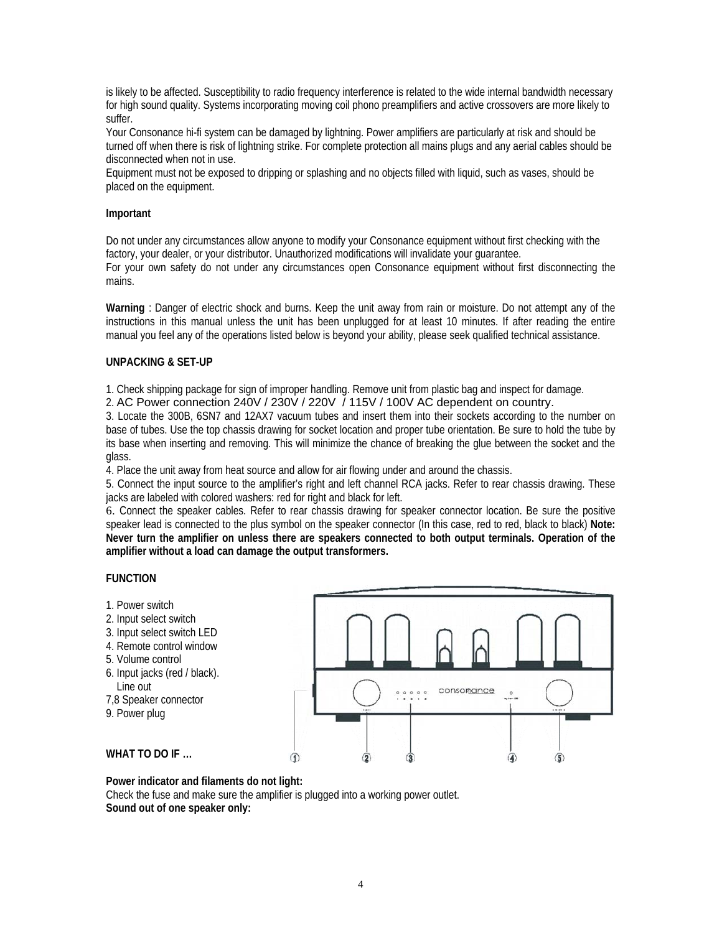is likely to be affected. Susceptibility to radio frequency interference is related to the wide internal bandwidth necessary for high sound quality. Systems incorporating moving coil phono preamplifiers and active crossovers are more likely to suffer.

Your Consonance hi-fi system can be damaged by lightning. Power amplifiers are particularly at risk and should be turned off when there is risk of lightning strike. For complete protection all mains plugs and any aerial cables should be disconnected when not in use.

Equipment must not be exposed to dripping or splashing and no objects filled with liquid, such as vases, should be placed on the equipment.

## **Important**

Do not under any circumstances allow anyone to modify your Consonance equipment without first checking with the factory, your dealer, or your distributor. Unauthorized modifications will invalidate your guarantee. For your own safety do not under any circumstances open Consonance equipment without first disconnecting the mains.

**Warning** : Danger of electric shock and burns. Keep the unit away from rain or moisture. Do not attempt any of the instructions in this manual unless the unit has been unplugged for at least 10 minutes. If after reading the entire manual you feel any of the operations listed below is beyond your ability, please seek qualified technical assistance.

#### **UNPACKING & SET-UP**

1. Check shipping package for sign of improper handling. Remove unit from plastic bag and inspect for damage.

2. AC Power connection 240V / 230V / 220V / 115V / 100V AC dependent on country.

3. Locate the 300B, 6SN7 and 12AX7 vacuum tubes and insert them into their sockets according to the number on base of tubes. Use the top chassis drawing for socket location and proper tube orientation. Be sure to hold the tube by its base when inserting and removing. This will minimize the chance of breaking the glue between the socket and the glass.

4. Place the unit away from heat source and allow for air flowing under and around the chassis.

5. Connect the input source to the amplifier's right and left channel RCA jacks. Refer to rear chassis drawing. These jacks are labeled with colored washers: red for right and black for left.

6. Connect the speaker cables. Refer to rear chassis drawing for speaker connector location. Be sure the positive speaker lead is connected to the plus symbol on the speaker connector (In this case, red to red, black to black) **Note: Never turn the amplifier on unless there are speakers connected to both output terminals. Operation of the amplifier without a load can damage the output transformers.** 

## **FUNCTION**

- 1. Power switch
- 2. Input select switch
- 3. Input select switch LED
- 4. Remote control window
- 5. Volume control
- 6. Input jacks (red / black). Line out
- 7,8 Speaker connector
- 
- 9. Power plug



**WHAT TO DO IF …** 

**Power indicator and filaments do not light:** 

Check the fuse and make sure the amplifier is plugged into a working power outlet. **Sound out of one speaker only:**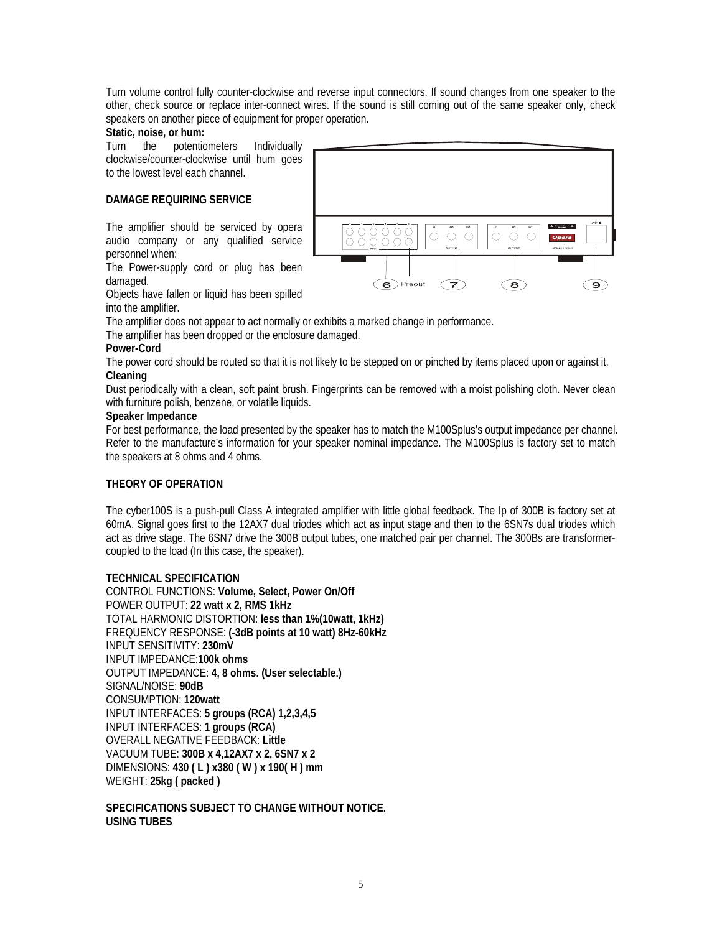Turn volume control fully counter-clockwise and reverse input connectors. If sound changes from one speaker to the other, check source or replace inter-connect wires. If the sound is still coming out of the same speaker only, check speakers on another piece of equipment for proper operation.

## **Static, noise, or hum:**

Turn the potentiometers Individually clockwise/counter-clockwise until hum goes to the lowest level each channel.

## **DAMAGE REQUIRING SERVICE**

The amplifier should be serviced by opera audio company or any qualified service personnel when:

The Power-supply cord or plug has been damaged.

Objects have fallen or liquid has been spilled into the amplifier.



The amplifier does not appear to act normally or exhibits a marked change in performance.

The amplifier has been dropped or the enclosure damaged.

## **Power-Cord**

The power cord should be routed so that it is not likely to be stepped on or pinched by items placed upon or against it. **Cleaning** 

Dust periodically with a clean, soft paint brush. Fingerprints can be removed with a moist polishing cloth. Never clean with furniture polish, benzene, or volatile liquids.

## **Speaker Impedance**

For best performance, the load presented by the speaker has to match the M100Splus's output impedance per channel. Refer to the manufacture's information for your speaker nominal impedance. The M100Splus is factory set to match the speakers at 8 ohms and 4 ohms.

## **THEORY OF OPERATION**

The cyber100S is a push-pull Class A integrated amplifier with little global feedback. The Ip of 300B is factory set at 60mA. Signal goes first to the 12AX7 dual triodes which act as input stage and then to the 6SN7s dual triodes which act as drive stage. The 6SN7 drive the 300B output tubes, one matched pair per channel. The 300Bs are transformercoupled to the load (In this case, the speaker).

## **TECHNICAL SPECIFICATION**

CONTROL FUNCTIONS: **Volume, Select, Power On/Off**  POWER OUTPUT: **22 watt x 2, RMS 1kHz**  TOTAL HARMONIC DISTORTION: **less than 1%(10watt, 1kHz)**  FREQUENCY RESPONSE: **(-3dB points at 10 watt) 8Hz-60kHz**  INPUT SENSITIVITY: **230mV** INPUT IMPEDANCE:**100k ohms**  OUTPUT IMPEDANCE: **4, 8 ohms. (User selectable.)**  SIGNAL/NOISE: **90dB**  CONSUMPTION: **120watt**  INPUT INTERFACES: **5 groups (RCA) 1,2,3,4,5**  INPUT INTERFACES: **1 groups (RCA)**  OVERALL NEGATIVE FEEDBACK: **Little**  VACUUM TUBE: **300B x 4,12AX7 x 2, 6SN7 x 2**  DIMENSIONS: **430 ( L ) x380 ( W ) x 190( H ) mm**  WEIGHT: **25kg ( packed )** 

**SPECIFICATIONS SUBJECT TO CHANGE WITHOUT NOTICE. USING TUBES**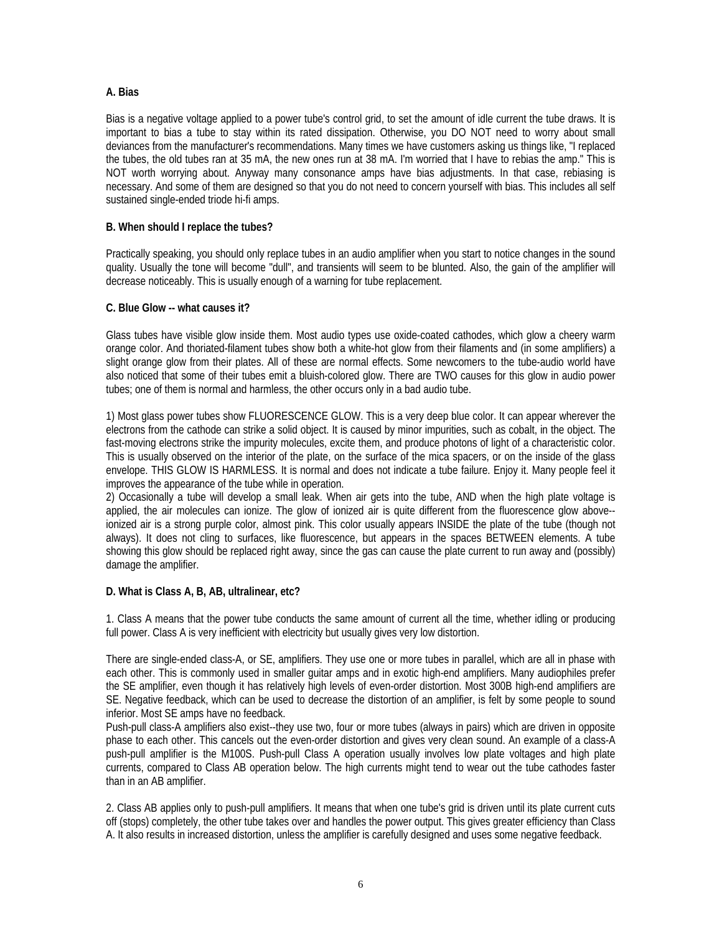## **A. Bias**

Bias is a negative voltage applied to a power tube's control grid, to set the amount of idle current the tube draws. It is important to bias a tube to stay within its rated dissipation. Otherwise, you DO NOT need to worry about small deviances from the manufacturer's recommendations. Many times we have customers asking us things like, "I replaced the tubes, the old tubes ran at 35 mA, the new ones run at 38 mA. I'm worried that I have to rebias the amp." This is NOT worth worrying about. Anyway many consonance amps have bias adjustments. In that case, rebiasing is necessary. And some of them are designed so that you do not need to concern yourself with bias. This includes all self sustained single-ended triode hi-fi amps.

## **B. When should I replace the tubes?**

Practically speaking, you should only replace tubes in an audio amplifier when you start to notice changes in the sound quality. Usually the tone will become "dull", and transients will seem to be blunted. Also, the gain of the amplifier will decrease noticeably. This is usually enough of a warning for tube replacement.

## **C. Blue Glow -- what causes it?**

Glass tubes have visible glow inside them. Most audio types use oxide-coated cathodes, which glow a cheery warm orange color. And thoriated-filament tubes show both a white-hot glow from their filaments and (in some amplifiers) a slight orange glow from their plates. All of these are normal effects. Some newcomers to the tube-audio world have also noticed that some of their tubes emit a bluish-colored glow. There are TWO causes for this glow in audio power tubes; one of them is normal and harmless, the other occurs only in a bad audio tube.

1) Most glass power tubes show FLUORESCENCE GLOW. This is a very deep blue color. It can appear wherever the electrons from the cathode can strike a solid object. It is caused by minor impurities, such as cobalt, in the object. The fast-moving electrons strike the impurity molecules, excite them, and produce photons of light of a characteristic color. This is usually observed on the interior of the plate, on the surface of the mica spacers, or on the inside of the glass envelope. THIS GLOW IS HARMLESS. It is normal and does not indicate a tube failure. Enjoy it. Many people feel it improves the appearance of the tube while in operation.

2) Occasionally a tube will develop a small leak. When air gets into the tube, AND when the high plate voltage is applied, the air molecules can ionize. The glow of ionized air is quite different from the fluorescence glow above- ionized air is a strong purple color, almost pink. This color usually appears INSIDE the plate of the tube (though not always). It does not cling to surfaces, like fluorescence, but appears in the spaces BETWEEN elements. A tube showing this glow should be replaced right away, since the gas can cause the plate current to run away and (possibly) damage the amplifier.

## **D. What is Class A, B, AB, ultralinear, etc?**

1. Class A means that the power tube conducts the same amount of current all the time, whether idling or producing full power. Class A is very inefficient with electricity but usually gives very low distortion.

There are single-ended class-A, or SE, amplifiers. They use one or more tubes in parallel, which are all in phase with each other. This is commonly used in smaller guitar amps and in exotic high-end amplifiers. Many audiophiles prefer the SE amplifier, even though it has relatively high levels of even-order distortion. Most 300B high-end amplifiers are SE. Negative feedback, which can be used to decrease the distortion of an amplifier, is felt by some people to sound inferior. Most SE amps have no feedback.

Push-pull class-A amplifiers also exist--they use two, four or more tubes (always in pairs) which are driven in opposite phase to each other. This cancels out the even-order distortion and gives very clean sound. An example of a class-A push-pull amplifier is the M100S. Push-pull Class A operation usually involves low plate voltages and high plate currents, compared to Class AB operation below. The high currents might tend to wear out the tube cathodes faster than in an AB amplifier.

2. Class AB applies only to push-pull amplifiers. It means that when one tube's grid is driven until its plate current cuts off (stops) completely, the other tube takes over and handles the power output. This gives greater efficiency than Class A. It also results in increased distortion, unless the amplifier is carefully designed and uses some negative feedback.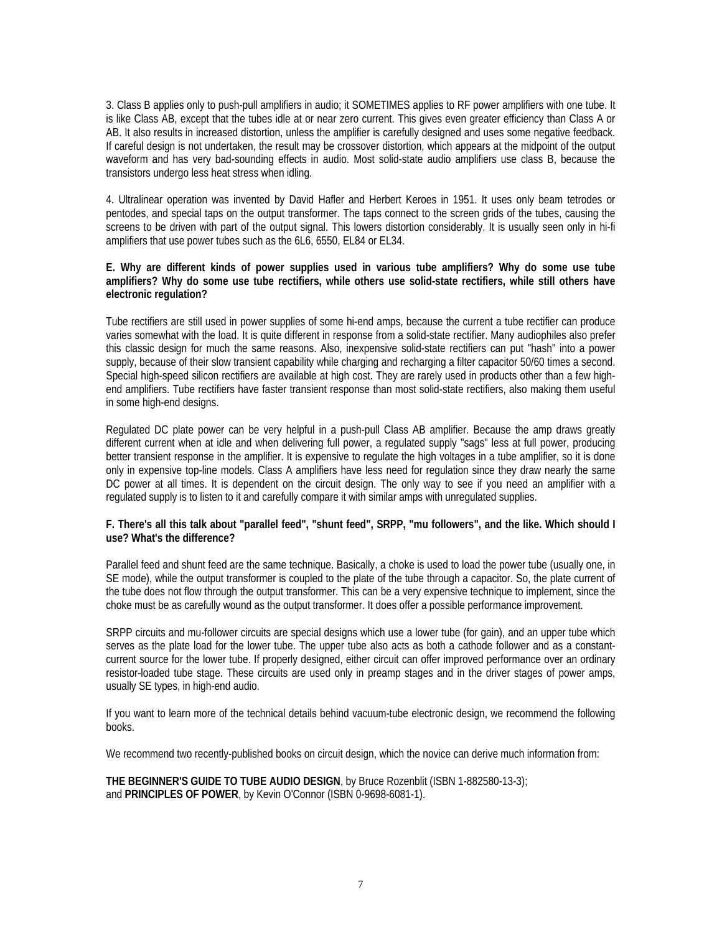3. Class B applies only to push-pull amplifiers in audio; it SOMETIMES applies to RF power amplifiers with one tube. It is like Class AB, except that the tubes idle at or near zero current. This gives even greater efficiency than Class A or AB. It also results in increased distortion, unless the amplifier is carefully designed and uses some negative feedback. If careful design is not undertaken, the result may be crossover distortion, which appears at the midpoint of the output waveform and has very bad-sounding effects in audio. Most solid-state audio amplifiers use class B, because the transistors undergo less heat stress when idling.

4. Ultralinear operation was invented by David Hafler and Herbert Keroes in 1951. It uses only beam tetrodes or pentodes, and special taps on the output transformer. The taps connect to the screen grids of the tubes, causing the screens to be driven with part of the output signal. This lowers distortion considerably. It is usually seen only in hi-fi amplifiers that use power tubes such as the 6L6, 6550, EL84 or EL34.

#### **E. Why are different kinds of power supplies used in various tube amplifiers? Why do some use tube amplifiers? Why do some use tube rectifiers, while others use solid-state rectifiers, while still others have electronic regulation?**

Tube rectifiers are still used in power supplies of some hi-end amps, because the current a tube rectifier can produce varies somewhat with the load. It is quite different in response from a solid-state rectifier. Many audiophiles also prefer this classic design for much the same reasons. Also, inexpensive solid-state rectifiers can put "hash" into a power supply, because of their slow transient capability while charging and recharging a filter capacitor 50/60 times a second. Special high-speed silicon rectifiers are available at high cost. They are rarely used in products other than a few highend amplifiers. Tube rectifiers have faster transient response than most solid-state rectifiers, also making them useful in some high-end designs.

Regulated DC plate power can be very helpful in a push-pull Class AB amplifier. Because the amp draws greatly different current when at idle and when delivering full power, a regulated supply "sags" less at full power, producing better transient response in the amplifier. It is expensive to regulate the high voltages in a tube amplifier, so it is done only in expensive top-line models. Class A amplifiers have less need for regulation since they draw nearly the same DC power at all times. It is dependent on the circuit design. The only way to see if you need an amplifier with a regulated supply is to listen to it and carefully compare it with similar amps with unregulated supplies.

## **F. There's all this talk about "parallel feed", "shunt feed", SRPP, "mu followers", and the like. Which should I use? What's the difference?**

Parallel feed and shunt feed are the same technique. Basically, a choke is used to load the power tube (usually one, in SE mode), while the output transformer is coupled to the plate of the tube through a capacitor. So, the plate current of the tube does not flow through the output transformer. This can be a very expensive technique to implement, since the choke must be as carefully wound as the output transformer. It does offer a possible performance improvement.

SRPP circuits and mu-follower circuits are special designs which use a lower tube (for gain), and an upper tube which serves as the plate load for the lower tube. The upper tube also acts as both a cathode follower and as a constantcurrent source for the lower tube. If properly designed, either circuit can offer improved performance over an ordinary resistor-loaded tube stage. These circuits are used only in preamp stages and in the driver stages of power amps, usually SE types, in high-end audio.

If you want to learn more of the technical details behind vacuum-tube electronic design, we recommend the following books.

We recommend two recently-published books on circuit design, which the novice can derive much information from:

**THE BEGINNER'S GUIDE TO TUBE AUDIO DESIGN**, by Bruce Rozenblit (ISBN 1-882580-13-3); and **PRINCIPLES OF POWER**, by Kevin O'Connor (ISBN 0-9698-6081-1).